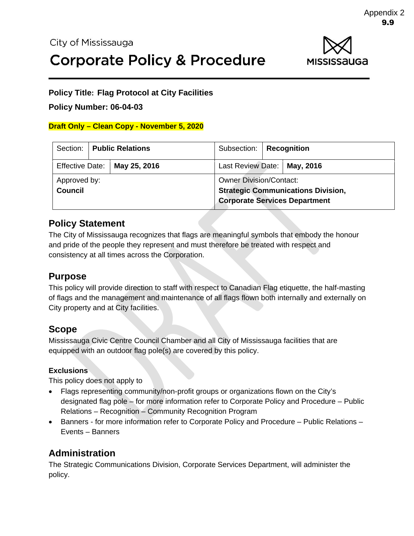

#### **Policy Title: Flag Protocol at City Facilities**

#### **Policy Number: 06-04-03**

#### **Draft Only – Clean Copy - November 5, 2020**

|                                |  | Section:   Public Relations          | Subsection:                                                                                                         | <b>Recognition</b> |  |
|--------------------------------|--|--------------------------------------|---------------------------------------------------------------------------------------------------------------------|--------------------|--|
|                                |  | Effective Date: $\vert$ May 25, 2016 | Last Review Date:   May, 2016                                                                                       |                    |  |
| Approved by:<br><b>Council</b> |  |                                      | <b>Owner Division/Contact:</b><br><b>Strategic Communications Division,</b><br><b>Corporate Services Department</b> |                    |  |

### **Policy Statement**

The City of Mississauga recognizes that flags are meaningful symbols that embody the honour and pride of the people they represent and must therefore be treated with respect and consistency at all times across the Corporation.

### **Purpose**

This policy will provide direction to staff with respect to Canadian Flag etiquette, the half-masting of flags and the management and maintenance of all flags flown both internally and externally on City property and at City facilities.

### **Scope**

Mississauga Civic Centre Council Chamber and all City of Mississauga facilities that are equipped with an outdoor flag pole(s) are covered by this policy.

#### **Exclusions**

This policy does not apply to

- Flags representing community/non-profit groups or organizations flown on the City's designated flag pole – for more information refer to Corporate Policy and Procedure – Public Relations – Recognition – Community Recognition Program
- Banners for more information refer to Corporate Policy and Procedure Public Relations Events – Banners

# **Administration**

The Strategic Communications Division, Corporate Services Department, will administer the policy.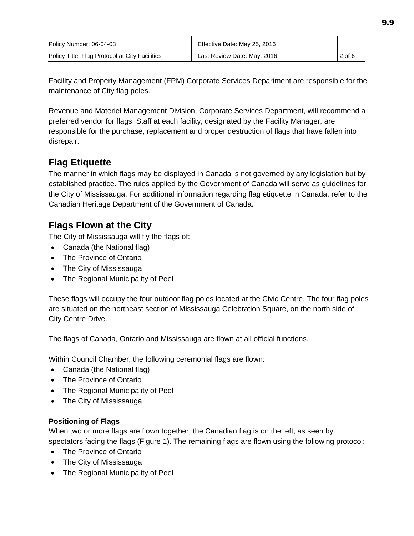Facility and Property Management (FPM) Corporate Services Department are responsible for the maintenance of City flag poles.

Revenue and Materiel Management Division, Corporate Services Department, will recommend a preferred vendor for flags. Staff at each facility, designated by the Facility Manager, are responsible for the purchase, replacement and proper destruction of flags that have fallen into disrepair.

# **Flag Etiquette**

The manner in which flags may be displayed in Canada is not governed by any legislation but by established practice. The rules applied by the Government of Canada will serve as guidelines for the City of Mississauga. For additional information regarding flag etiquette in Canada, refer to the Canadian Heritage Department of the Government of Canada.

### **Flags Flown at the City**

The City of Mississauga will fly the flags of:

- Canada (the National flag)
- The Province of Ontario
- The City of Mississauga
- The Regional Municipality of Peel

These flags will occupy the four outdoor flag poles located at the Civic Centre. The four flag poles are situated on the northeast section of Mississauga Celebration Square, on the north side of City Centre Drive.

The flags of Canada, Ontario and Mississauga are flown at all official functions.

Within Council Chamber, the following ceremonial flags are flown:

- Canada (the National flag)
- The Province of Ontario
- The Regional Municipality of Peel
- The City of Mississauga

#### **Positioning of Flags**

When two or more flags are flown together, the Canadian flag is on the left, as seen by spectators facing the flags (Figure 1). The remaining flags are flown using the following protocol:

- The Province of Ontario
- The City of Mississauga
- The Regional Municipality of Peel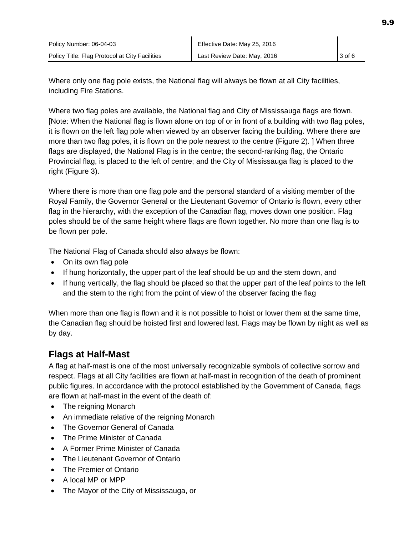Where only one flag pole exists, the National flag will always be flown at all City facilities, including Fire Stations.

Where two flag poles are available, the National flag and City of Mississauga flags are flown. [Note: When the National flag is flown alone on top of or in front of a building with two flag poles, it is flown on the left flag pole when viewed by an observer facing the building. Where there are more than two flag poles, it is flown on the pole nearest to the centre (Figure 2). ] When three flags are displayed, the National Flag is in the centre; the second-ranking flag, the Ontario Provincial flag, is placed to the left of centre; and the City of Mississauga flag is placed to the right (Figure 3).

Where there is more than one flag pole and the personal standard of a visiting member of the Royal Family, the Governor General or the Lieutenant Governor of Ontario is flown, every other flag in the hierarchy, with the exception of the Canadian flag, moves down one position. Flag poles should be of the same height where flags are flown together. No more than one flag is to be flown per pole.

The National Flag of Canada should also always be flown:

- On its own flag pole
- If hung horizontally, the upper part of the leaf should be up and the stem down, and
- If hung vertically, the flag should be placed so that the upper part of the leaf points to the left and the stem to the right from the point of view of the observer facing the flag

When more than one flag is flown and it is not possible to hoist or lower them at the same time, the Canadian flag should be hoisted first and lowered last. Flags may be flown by night as well as by day.

# **Flags at Half-Mast**

A flag at half-mast is one of the most universally recognizable symbols of collective sorrow and respect. Flags at all City facilities are flown at half-mast in recognition of the death of prominent public figures. In accordance with the protocol established by the Government of Canada, flags are flown at half-mast in the event of the death of:

- The reigning Monarch
- An immediate relative of the reigning Monarch
- The Governor General of Canada
- The Prime Minister of Canada
- A Former Prime Minister of Canada
- The Lieutenant Governor of Ontario
- The Premier of Ontario
- A local MP or MPP
- The Mayor of the City of Mississauga, or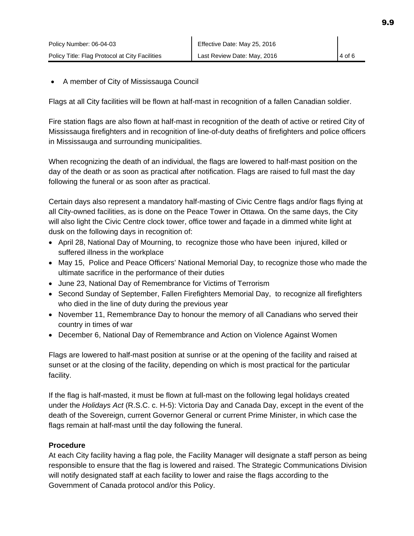• A member of City of Mississauga Council

Flags at all City facilities will be flown at half-mast in recognition of a fallen Canadian soldier.

Fire station flags are also flown at half-mast in recognition of the death of active or retired City of Mississauga firefighters and in recognition of line-of-duty deaths of firefighters and police officers in Mississauga and surrounding municipalities.

When recognizing the death of an individual, the flags are lowered to half-mast position on the day of the death or as soon as practical after notification. Flags are raised to full mast the day following the funeral or as soon after as practical.

Certain days also represent a mandatory half-masting of Civic Centre flags and/or flags flying at all City-owned facilities, as is done on the Peace Tower in Ottawa. On the same days, the City will also light the Civic Centre clock tower, office tower and façade in a dimmed white light at dusk on the following days in recognition of:

- April 28, National Day of Mourning, to recognize those who have been injured, killed or suffered illness in the workplace
- May 15, Police and Peace Officers' National Memorial Day, to recognize those who made the ultimate sacrifice in the performance of their duties
- June 23, National Day of Remembrance for Victims of Terrorism
- Second Sunday of September, Fallen Firefighters Memorial Day, to recognize all firefighters who died in the line of duty during the previous year
- November 11, Remembrance Day to honour the memory of all Canadians who served their country in times of war
- December 6, National Day of Remembrance and Action on Violence Against Women

Flags are lowered to half-mast position at sunrise or at the opening of the facility and raised at sunset or at the closing of the facility, depending on which is most practical for the particular facility.

If the flag is half-masted, it must be flown at full-mast on the following legal holidays created under the *Holidays Act* (R.S.C. c. H-5): Victoria Day and Canada Day, except in the event of the death of the Sovereign, current Governor General or current Prime Minister, in which case the flags remain at half-mast until the day following the funeral.

#### **Procedure**

At each City facility having a flag pole, the Facility Manager will designate a staff person as being responsible to ensure that the flag is lowered and raised. The Strategic Communications Division will notify designated staff at each facility to lower and raise the flags according to the Government of Canada protocol and/or this Policy.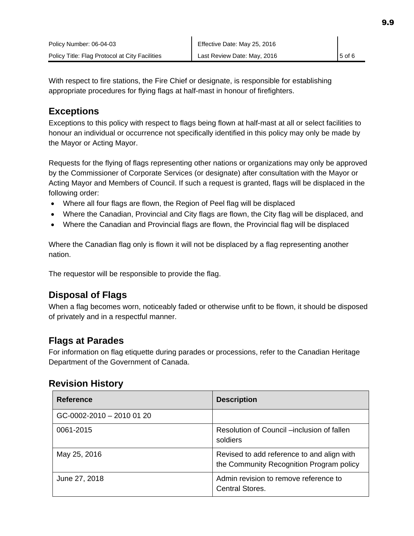With respect to fire stations, the Fire Chief or designate, is responsible for establishing appropriate procedures for flying flags at half-mast in honour of firefighters.

### **Exceptions**

Exceptions to this policy with respect to flags being flown at half-mast at all or select facilities to honour an individual or occurrence not specifically identified in this policy may only be made by the Mayor or Acting Mayor.

Requests for the flying of flags representing other nations or organizations may only be approved by the Commissioner of Corporate Services (or designate) after consultation with the Mayor or Acting Mayor and Members of Council. If such a request is granted, flags will be displaced in the following order:

- Where all four flags are flown, the Region of Peel flag will be displaced
- Where the Canadian, Provincial and City flags are flown, the City flag will be displaced, and
- Where the Canadian and Provincial flags are flown, the Provincial flag will be displaced

Where the Canadian flag only is flown it will not be displaced by a flag representing another nation.

The requestor will be responsible to provide the flag.

# **Disposal of Flags**

When a flag becomes worn, noticeably faded or otherwise unfit to be flown, it should be disposed of privately and in a respectful manner.

# **Flags at Parades**

For information on flag etiquette during parades or processions, refer to the Canadian Heritage Department of the Government of Canada.

### **Revision History**

| <b>Reference</b>          | <b>Description</b>                                                                     |
|---------------------------|----------------------------------------------------------------------------------------|
| GC-0002-2010 - 2010 01 20 |                                                                                        |
| 0061-2015                 | Resolution of Council –inclusion of fallen<br>soldiers                                 |
| May 25, 2016              | Revised to add reference to and align with<br>the Community Recognition Program policy |
| June 27, 2018             | Admin revision to remove reference to<br><b>Central Stores.</b>                        |